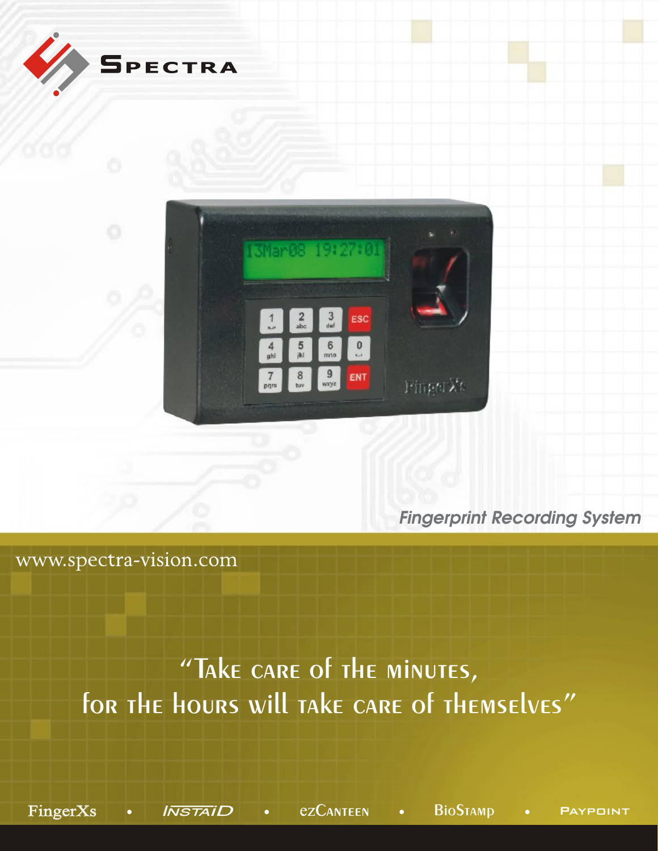

*Fingerprint Recording System*

www.spectra-vision.com

# "Take care of the minutes, for the hours will take care of themselves"